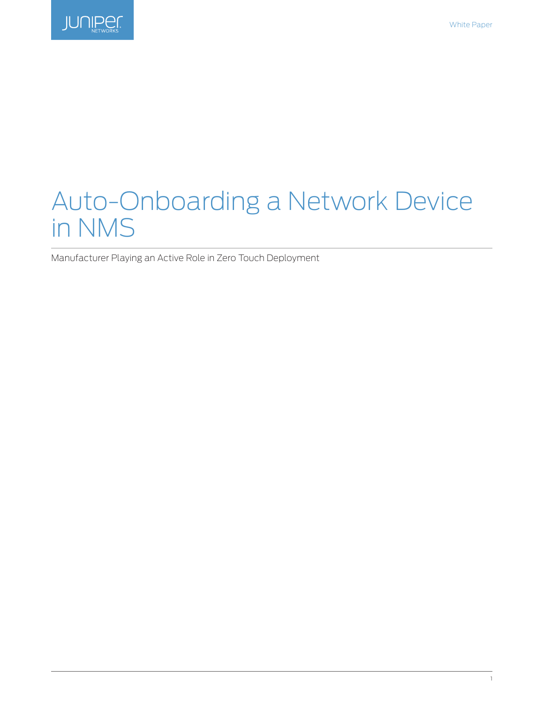

# Auto-Onboarding a Network Device in NMS

Manufacturer Playing an Active Role in Zero Touch Deployment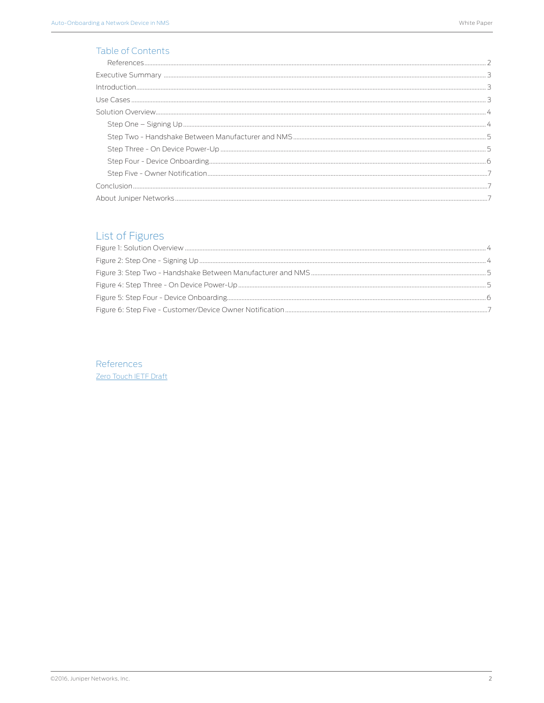# **Table of Contents**

# List of Figures

References Zero Touch IETF Draft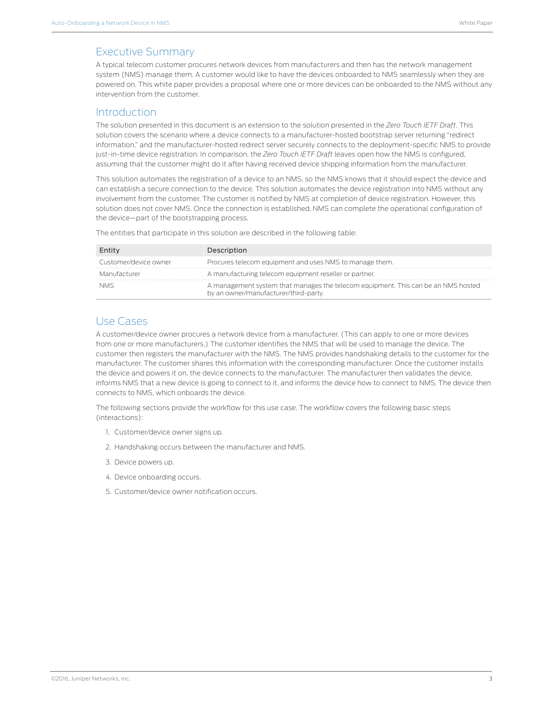# <span id="page-2-0"></span>Executive Summary

A typical telecom customer procures network devices from manufacturers and then has the network management system (NMS) manage them. A customer would like to have the devices onboarded to NMS seamlessly when they are powered on. This white paper provides a proposal where one or more devices can be onboarded to the NMS without any intervention from the customer.

# Introduction

The solution presented in this document is an extension to the solution presented in the *Zero Touch IETF Draft*. This solution covers the scenario where a device connects to a manufacturer-hosted bootstrap server returning "redirect information," and the manufacturer-hosted redirect server securely connects to the deployment-specific NMS to provide just-in-time device registration. In comparison, the *Zero Touch IETF Draft* leaves open how the NMS is configured, assuming that the customer might do it after having received device shipping information from the manufacturer.

This solution automates the registration of a device to an NMS, so the NMS knows that it should expect the device and can establish a secure connection to the device. This solution automates the device registration into NMS without any involvement from the customer. The customer is notified by NMS at completion of device registration. However, this solution does not cover NMS. Once the connection is established, NMS can complete the operational configuration of the device—part of the bootstrapping process.

| Entity                | Description                                                                                                                |
|-----------------------|----------------------------------------------------------------------------------------------------------------------------|
| Customer/device owner | Procures telecom equipment and uses NMS to manage them.                                                                    |
| Manufacturer          | A manufacturing telecom equipment reseller or partner.                                                                     |
| NMS                   | A management system that manages the telecom equipment. This can be an NMS hosted<br>by an owner/manufacturer/third-party. |

The entities that participate in this solution are described in the following table:

### Use Cases

A customer/device owner procures a network device from a manufacturer. (This can apply to one or more devices from one or more manufacturers.) The customer identifies the NMS that will be used to manage the device. The customer then registers the manufacturer with the NMS. The NMS provides handshaking details to the customer for the manufacturer. The customer shares this information with the corresponding manufacturer. Once the customer installs the device and powers it on, the device connects to the manufacturer. The manufacturer then validates the device, informs NMS that a new device is going to connect to it, and informs the device how to connect to NMS. The device then connects to NMS, which onboards the device.

The following sections provide the workflow for this use case. The workflow covers the following basic steps (interactions):

- 1. Customer/device owner signs up.
- 2. Handshaking occurs between the manufacturer and NMS.
- 3. Device powers up.
- 4. Device onboarding occurs.
- 5. Customer/device owner notification occurs.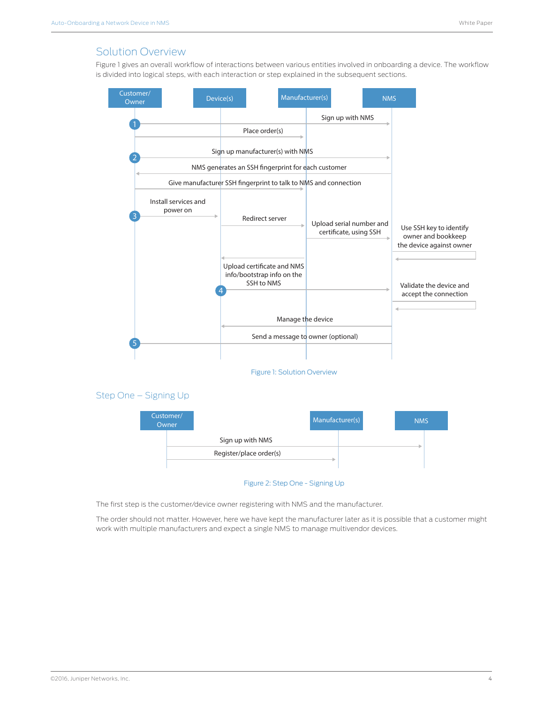# <span id="page-3-0"></span>Solution Overview

Figure 1 gives an overall workflow of interactions between various entities involved in onboarding a device. The workflow is divided into logical steps, with each interaction or step explained in the subsequent sections.



The first step is the customer/device owner registering with NMS and the manufacturer.

The order should not matter. However, here we have kept the manufacturer later as it is possible that a customer might work with multiple manufacturers and expect a single NMS to manage multivendor devices.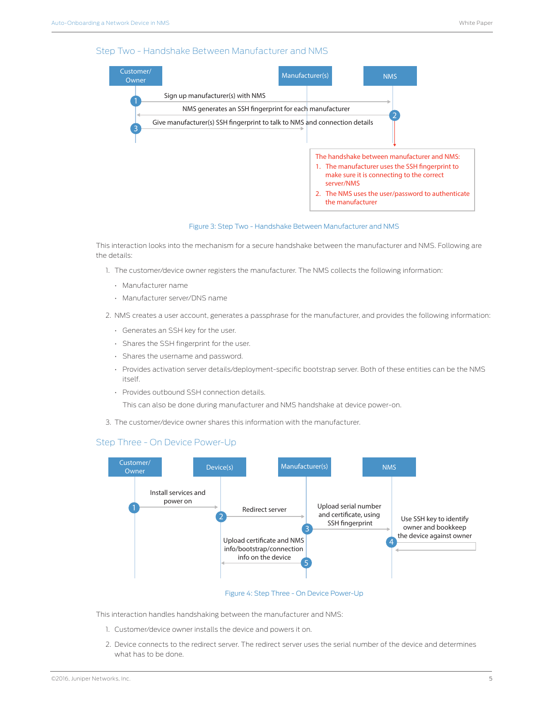#### <span id="page-4-0"></span>Step Two - Handshake Between Manufacturer and NMS



Figure 3: Step Two - Handshake Between Manufacturer and NMS

This interaction looks into the mechanism for a secure handshake between the manufacturer and NMS. Following are the details:

- 1. The customer/device owner registers the manufacturer. The NMS collects the following information:
	- Manufacturer name
	- Manufacturer server/DNS name

2. NMS creates a user account, generates a passphrase for the manufacturer, and provides the following information:

- Generates an SSH key for the user.
- Shares the SSH fingerprint for the user.
- Shares the username and password.
- Provides activation server details/deployment-specific bootstrap server. Both of these entities can be the NMS itself.
- Provides outbound SSH connection details.

This can also be done during manufacturer and NMS handshake at device power-on.

3. The customer/device owner shares this information with the manufacturer.

#### Step Three - On Device Power-Up



Figure 4: Step Three - On Device Power-Up

This interaction handles handshaking between the manufacturer and NMS:

- 1. Customer/device owner installs the device and powers it on.
- 2. Device connects to the redirect server. The redirect server uses the serial number of the device and determines what has to be done.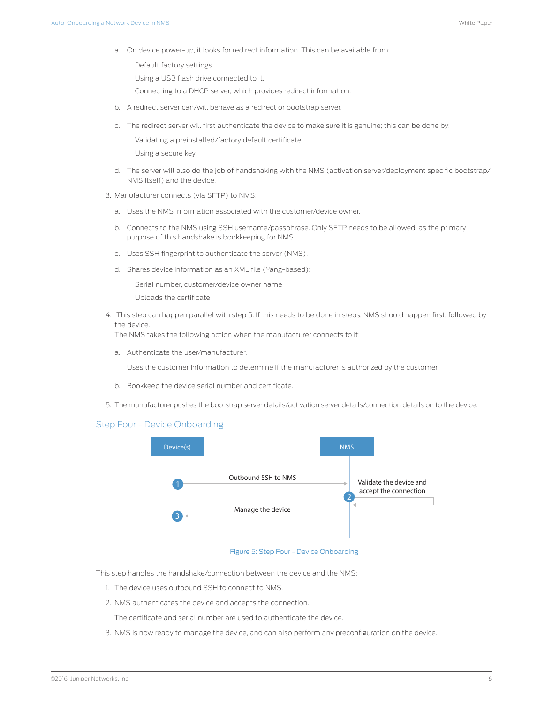- <span id="page-5-0"></span>a. On device power-up, it looks for redirect information. This can be available from:
	- Default factory settings
	- Using a USB flash drive connected to it.
	- Connecting to a DHCP server, which provides redirect information.
- b. A redirect server can/will behave as a redirect or bootstrap server.
- c. The redirect server will first authenticate the device to make sure it is genuine; this can be done by:
	- Validating a preinstalled/factory default certificate
	- Using a secure key
- d. The server will also do the job of handshaking with the NMS (activation server/deployment specific bootstrap/ NMS itself) and the device.
- 3. Manufacturer connects (via SFTP) to NMS:
	- a. Uses the NMS information associated with the customer/device owner.
	- b. Connects to the NMS using SSH username/passphrase. Only SFTP needs to be allowed, as the primary purpose of this handshake is bookkeeping for NMS.
	- c. Uses SSH fingerprint to authenticate the server (NMS).
	- d. Shares device information as an XML file (Yang-based):
		- Serial number, customer/device owner name
		- Uploads the certificate
- 4. This step can happen parallel with step 5. If this needs to be done in steps, NMS should happen first, followed by the device.

The NMS takes the following action when the manufacturer connects to it:

a. Authenticate the user/manufacturer.

Uses the customer information to determine if the manufacturer is authorized by the customer.

- b. Bookkeep the device serial number and certificate.
- 5. The manufacturer pushes the bootstrap server details/activation server details/connection details on to the device.

#### Step Four - Device Onboarding



#### Figure 5: Step Four - Device Onboarding

This step handles the handshake/connection between the device and the NMS:

- 1. The device uses outbound SSH to connect to NMS.
- 2. NMS authenticates the device and accepts the connection.

The certificate and serial number are used to authenticate the device.

3. NMS is now ready to manage the device, and can also perform any preconfiguration on the device.